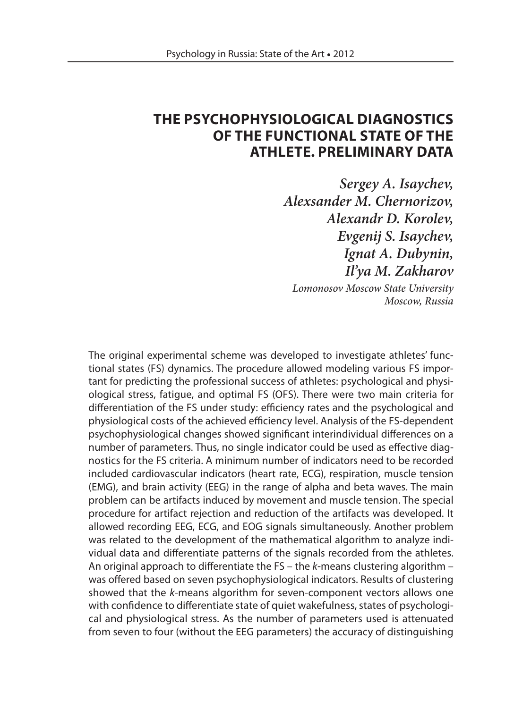# **The Psychophysiological Diagnostics of the Functional State of the ATHLETE. Preliminary Data**

*Sergey A. Isaychev, Alexsander M. Chernorizov, Alexandr D. Korolev, Evgenij S. Isaychev, Ignat A. Dubynin, Il'ya M. Zakharov Lomonosov Moscow State University* 

*Moscow, Russia*

The original experimental scheme was developed to investigate athletes' functional states (FS) dynamics. The procedure allowed modeling various FS important for predicting the professional success of athletes: psychological and physiological stress, fatigue, and optimal FS (OFS). There were two main criteria for differentiation of the FS under study: efficiency rates and the psychological and physiological costs of the achieved efficiency level. Analysis of the FS-dependent psychophysiological changes showed significant interindividual differences on a number of parameters. Thus, no single indicator could be used as effective diagnostics for the FS criteria. A minimum number of indicators need to be recorded included cardiovascular indicators (heart rate, ECG), respiration, muscle tension (EMG), and brain activity (EEG) in the range of alpha and beta waves. The main problem can be artifacts induced by movement and muscle tension. The special procedure for artifact rejection and reduction of the artifacts was developed. It allowed recording EEG, ECG, and EOG signals simultaneously. Another problem was related to the development of the mathematical algorithm to analyze individual data and differentiate patterns of the signals recorded from the athletes. An original approach to differentiate the FS – the *k*-means clustering algorithm – was offered based on seven psychophysiological indicators. Results of clustering showed that the *k*-means algorithm for seven-component vectors allows one with confidence to differentiate state of quiet wakefulness, states of psychological and physiological stress. As the number of parameters used is attenuated from seven to four (without the EEG parameters) the accuracy of distinguishing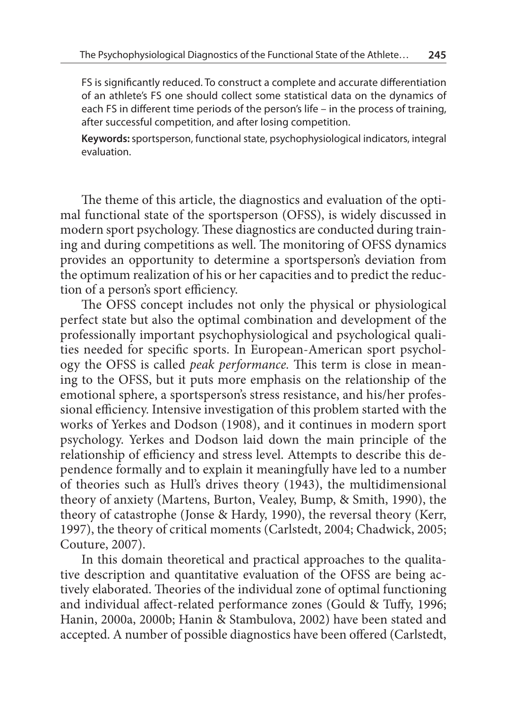FS is significantly reduced. To construct a complete and accurate differentiation of an athlete's FS one should collect some statistical data on the dynamics of each FS in different time periods of the person's life – in the process of training, after successful competition, and after losing competition.

**Keywords:**sportsperson, functional state, psychophysiological indicators, integral evaluation.

The theme of this article, the diagnostics and evaluation of the optimal functional state of the sportsperson (OFSS), is widely discussed in modern sport psychology. These diagnostics are conducted during training and during competitions as well. The monitoring of OFSS dynamics provides an opportunity to determine a sportsperson's deviation from the optimum realization of his or her capacities and to predict the reduction of a person's sport efficiency.

The OFSS concept includes not only the physical or physiological perfect state but also the optimal combination and development of the professionally important psychophysiological and psychological qualities needed for specific sports. In European-American sport psychology the OFSS is called *peak performance.* This term is close in meaning to the OFSS, but it puts more emphasis on the relationship of the emotional sphere, a sportsperson's stress resistance, and his/her professional efficiency. Intensive investigation of this problem started with the works of Yerkes and Dodson (1908), and it continues in modern sport psychology. Yerkes and Dodson laid down the main principle of the relationship of efficiency and stress level. Attempts to describe this dependence formally and to explain it meaningfully have led to a number of theories such as Hull's drives theory (1943), the multidimensional theory of anxiety (Martens, Burton, Vealey, Bump, & Smith, 1990), the theory of catastrophe (Jonse & Hardy, 1990), the reversal theory (Kerr, 1997), the theory of critical moments (Carlstedt, 2004; Chadwick, 2005; Couture, 2007).

In this domain theoretical and practical approaches to the qualitative description and quantitative evaluation of the OFSS are being actively elaborated. Theories of the individual zone of optimal functioning and individual affect-related performance zones (Gould & Tuffy, 1996; Hanin, 2000a, 2000b; Hanin & Stambulova, 2002) have been stated and accepted. A number of possible diagnostics have been offered (Carlstedt,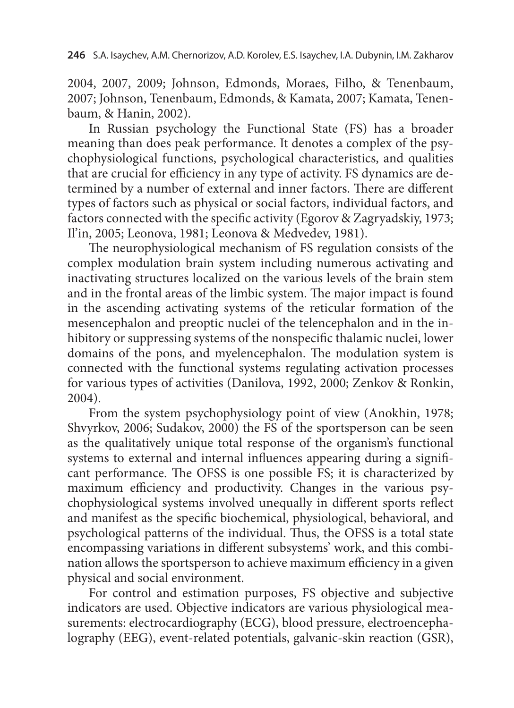2004, 2007, 2009; Johnson, Edmonds, Moraes, Filho, & Tenenbaum, 2007; Johnson, Tenenbaum, Edmonds, & Kamata, 2007; Kamata, Tenenbaum, & Hanin, 2002).

In Russian psychology the Functional State (FS) has a broader meaning than does peak performance. It denotes a complex of the psychophysiological functions, psychological characteristics, and qualities that are crucial for efficiency in any type of activity. FS dynamics are determined by a number of external and inner factors. There are different types of factors such as physical or social factors, individual factors, and factors connected with the specific activity (Egorov & Zagryadskiy, 1973; Il'in, 2005; Leonova, 1981; Leonova & Medvedev, 1981).

The neurophysiological mechanism of FS regulation consists of the complex modulation brain system including numerous activating and inactivating structures localized on the various levels of the brain stem and in the frontal areas of the limbic system. The major impact is found in the ascending activating systems of the reticular formation of the mesencephalon and preoptic nuclei of the telencephalon and in the inhibitory or suppressing systems of the nonspecific thalamic nuclei, lower domains of the pons, and myelencephalon. The modulation system is connected with the functional systems regulating activation processes for various types of activities (Danilova, 1992, 2000; Zenkov & Ronkin, 2004).

From the system psychophysiology point of view (Anokhin, 1978; Shvyrkov, 2006; Sudakov, 2000) the FS of the sportsperson can be seen as the qualitatively unique total response of the organism's functional systems to external and internal influences appearing during a significant performance. The OFSS is one possible FS; it is characterized by maximum efficiency and productivity. Changes in the various psychophysiological systems involved unequally in different sports reflect and manifest as the specific biochemical, physiological, behavioral, and psychological patterns of the individual. Thus, the OFSS is a total state encompassing variations in different subsystems' work, and this combination allows the sportsperson to achieve maximum efficiency in a given physical and social environment.

For control and estimation purposes, FS objective and subjective indicators are used. Objective indicators are various physiological measurements: electrocardiography (ECG), blood pressure, electroencephalography (EEG), event-related potentials, galvanic-skin reaction (GSR),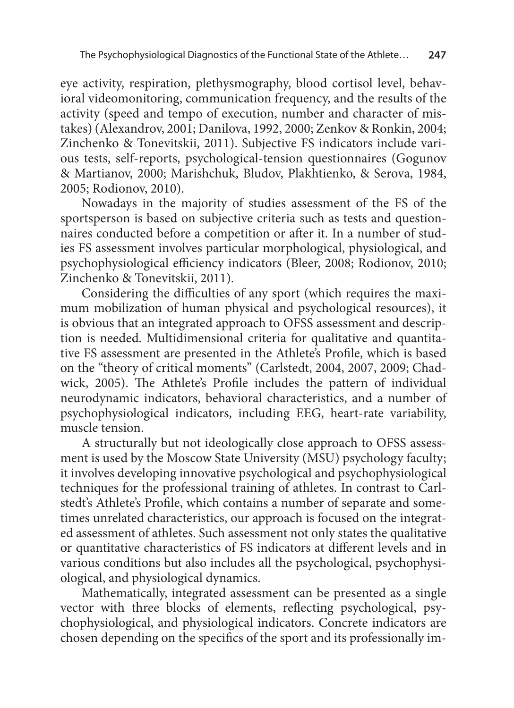eye activity, respiration, plethysmography, blood cortisol level, behavioral videomonitoring, communication frequency, and the results of the activity (speed and tempo of execution, number and character of mistakes) (Alexandrov, 2001; Danilova, 1992, 2000; Zenkov & Ronkin, 2004; Zinchenko & Tonevitskii, 2011). Subjective FS indicators include various tests, self-reports, psychological-tension questionnaires (Gogunov & Martianov, 2000; Marishchuk, Bludov, Plakhtienko, & Serova, 1984, 2005; Rodionov, 2010).

Nowadays in the majority of studies assessment of the FS of the sportsperson is based on subjective criteria such as tests and questionnaires conducted before a competition or after it. In a number of studies FS assessment involves particular morphological, physiological, and psychophysiological efficiency indicators (Bleer, 2008; Rodionov, 2010; Zinchenko & Tonevitskii, 2011).

Considering the difficulties of any sport (which requires the maximum mobilization of human physical and psychological resources), it is obvious that an integrated approach to OFSS assessment and description is needed. Multidimensional criteria for qualitative and quantitative FS assessment are presented in the Athlete's Profile, which is based on the "theory of critical moments" (Carlstedt, 2004, 2007, 2009; Chadwick, 2005). The Athlete's Profile includes the pattern of individual neurodynamic indicators, behavioral characteristics, and a number of psychophysiological indicators, including EEG, heart-rate variability, muscle tension.

A structurally but not ideologically close approach to OFSS assessment is used by the Moscow State University (MSU) psychology faculty; it involves developing innovative psychological and psychophysiological techniques for the professional training of athletes. In contrast to Carlstedt's Athlete's Profile, which contains a number of separate and sometimes unrelated characteristics, our approach is focused on the integrated assessment of athletes. Such assessment not only states the qualitative or quantitative characteristics of FS indicators at different levels and in various conditions but also includes all the psychological, psychophysiological, and physiological dynamics.

Mathematically, integrated assessment can be presented as a single vector with three blocks of elements, reflecting psychological, psychophysiological, and physiological indicators. Concrete indicators are chosen depending on the specifics of the sport and its professionally im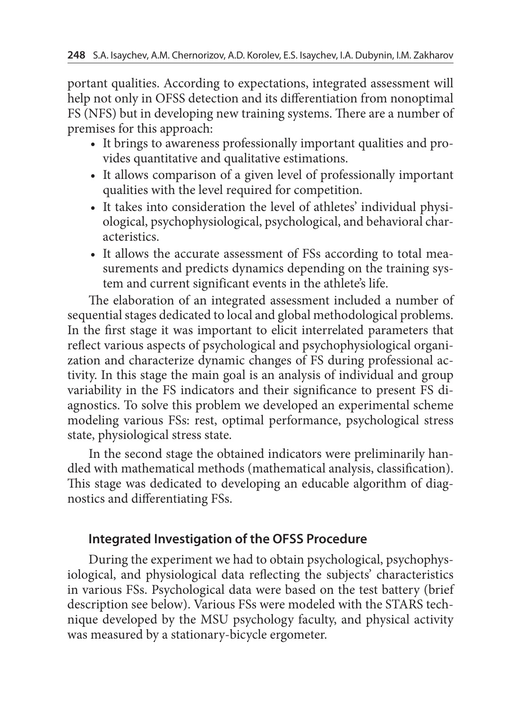portant qualities. According to expectations, integrated assessment will help not only in OFSS detection and its differentiation from nonoptimal FS (NFS) but in developing new training systems. There are a number of premises for this approach:

- It brings to awareness professionally important qualities and provides quantitative and qualitative estimations.
- It allows comparison of a given level of professionally important qualities with the level required for competition.
- It takes into consideration the level of athletes' individual physiological, psychophysiological, psychological, and behavioral characteristics.
- It allows the accurate assessment of FSs according to total measurements and predicts dynamics depending on the training system and current significant events in the athlete's life.

The elaboration of an integrated assessment included a number of sequential stages dedicated to local and global methodological problems. In the first stage it was important to elicit interrelated parameters that reflect various aspects of psychological and psychophysiological organization and characterize dynamic changes of FS during professional activity. In this stage the main goal is an analysis of individual and group variability in the FS indicators and their significance to present FS diagnostics. To solve this problem we developed an experimental scheme modeling various FSs: rest, optimal performance, psychological stress state, physiological stress state.

In the second stage the obtained indicators were preliminarily handled with mathematical methods (mathematical analysis, classification). This stage was dedicated to developing an educable algorithm of diagnostics and differentiating FSs.

# **Integrated Investigation of the OFSS Procedure**

During the experiment we had to obtain psychological, psychophysiological, and physiological data reflecting the subjects' characteristics in various FSs. Psychological data were based on the test battery (brief description see below). Various FSs were modeled with the STARS technique developed by the MSU psychology faculty, and physical activity was measured by a stationary-bicycle ergometer.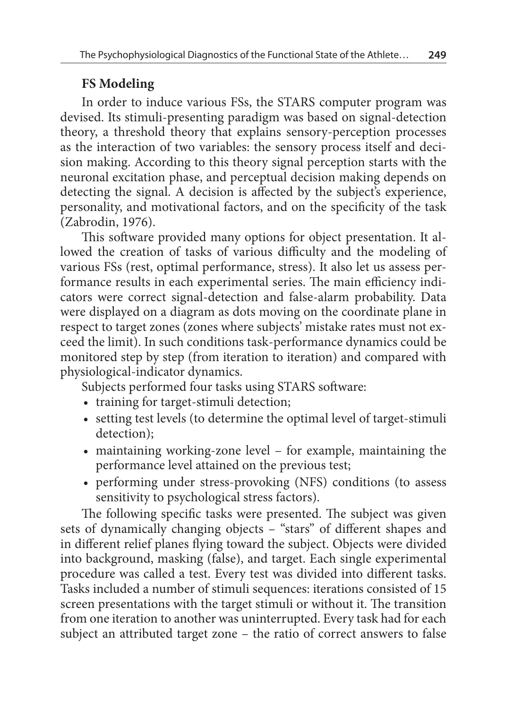### **FS Modeling**

In order to induce various FSs, the STARS computer program was devised. Its stimuli-presenting paradigm was based on signal-detection theory, a threshold theory that explains sensory-perception processes as the interaction of two variables: the sensory process itself and decision making. According to this theory signal perception starts with the neuronal excitation phase, and perceptual decision making depends on detecting the signal. A decision is affected by the subject's experience, personality, and motivational factors, and on the specificity of the task (Zabrodin, 1976).

This software provided many options for object presentation. It allowed the creation of tasks of various difficulty and the modeling of various FSs (rest, optimal performance, stress). It also let us assess performance results in each experimental series. The main efficiency indicators were correct signal-detection and false-alarm probability. Data were displayed on a diagram as dots moving on the coordinate plane in respect to target zones (zones where subjects' mistake rates must not exceed the limit). In such conditions task-performance dynamics could be monitored step by step (from iteration to iteration) and compared with physiological-indicator dynamics.

Subjects performed four tasks using STARS software:

- training for target-stimuli detection;
- setting test levels (to determine the optimal level of target-stimuli detection);
- maintaining working-zone level for example, maintaining the performance level attained on the previous test;
- • performing under stress-provoking (NFS) conditions (to assess sensitivity to psychological stress factors).

The following specific tasks were presented. The subject was given sets of dynamically changing objects – "stars" of different shapes and in different relief planes flying toward the subject. Objects were divided into background, masking (false), and target. Each single experimental procedure was called a test. Every test was divided into different tasks. Tasks included a number of stimuli sequences: iterations consisted of 15 screen presentations with the target stimuli or without it. The transition from one iteration to another was uninterrupted. Every task had for each subject an attributed target zone – the ratio of correct answers to false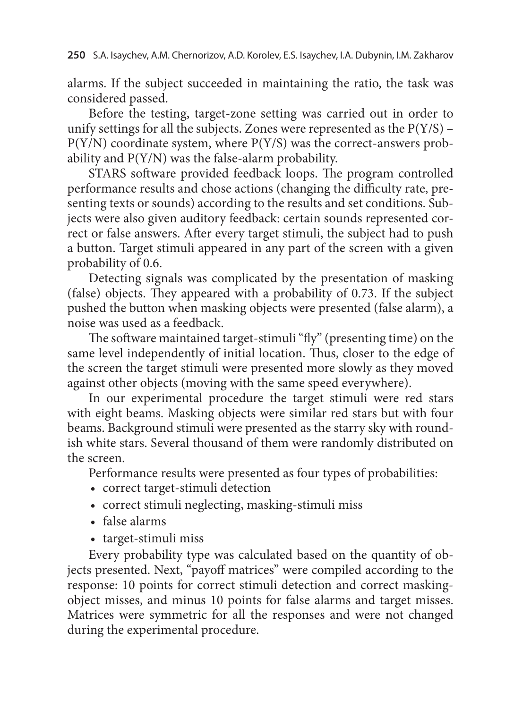alarms. If the subject succeeded in maintaining the ratio, the task was considered passed.

Before the testing, target-zone setting was carried out in order to unify settings for all the subjects. Zones were represented as the P(Y/S) –  $P(Y/N)$  coordinate system, where  $P(Y/S)$  was the correct-answers probability and P(Y/N) was the false-alarm probability.

STARS software provided feedback loops. The program controlled performance results and chose actions (changing the difficulty rate, presenting texts or sounds) according to the results and set conditions. Subjects were also given auditory feedback: certain sounds represented correct or false answers. After every target stimuli, the subject had to push a button. Target stimuli appeared in any part of the screen with a given probability of 0.6.

Detecting signals was complicated by the presentation of masking (false) objects. They appeared with a probability of 0.73. If the subject pushed the button when masking objects were presented (false alarm), a noise was used as a feedback.

The software maintained target-stimuli "fly" (presenting time) on the same level independently of initial location. Thus, closer to the edge of the screen the target stimuli were presented more slowly as they moved against other objects (moving with the same speed everywhere).

In our experimental procedure the target stimuli were red stars with eight beams. Masking objects were similar red stars but with four beams. Background stimuli were presented as the starry sky with roundish white stars. Several thousand of them were randomly distributed on the screen.

Performance results were presented as four types of probabilities:

- • correct target-stimuli detection
- correct stimuli neglecting, masking-stimuli miss
- false alarms
- • target-stimuli miss

Every probability type was calculated based on the quantity of objects presented. Next, "payoff matrices" were compiled according to the response: 10 points for correct stimuli detection and correct maskingobject misses, and minus 10 points for false alarms and target misses. Matrices were symmetric for all the responses and were not changed during the experimental procedure.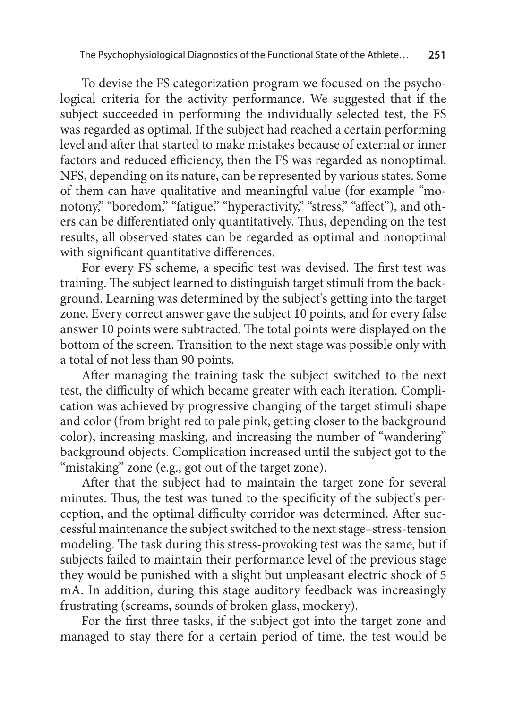To devise the FS categorization program we focused on the psychological criteria for the activity performance. We suggested that if the subject succeeded in performing the individually selected test, the FS was regarded as optimal. If the subject had reached a certain performing level and after that started to make mistakes because of external or inner factors and reduced efficiency, then the FS was regarded as nonoptimal. NFS, depending on its nature, can be represented by various states. Some of them can have qualitative and meaningful value (for example "monotony," "boredom," "fatigue," "hyperactivity," "stress," "affect"), and others can be differentiated only quantitatively. Thus, depending on the test results, all observed states can be regarded as optimal and nonoptimal with significant quantitative differences.

For every FS scheme, a specific test was devised. The first test was training. The subject learned to distinguish target stimuli from the background. Learning was determined by the subject's getting into the target zone. Every correct answer gave the subject 10 points, and for every false answer 10 points were subtracted. The total points were displayed on the bottom of the screen. Transition to the next stage was possible only with a total of not less than 90 points.

After managing the training task the subject switched to the next test, the difficulty of which became greater with each iteration. Complication was achieved by progressive changing of the target stimuli shape and color (from bright red to pale pink, getting closer to the background color), increasing masking, and increasing the number of "wandering" background objects. Complication increased until the subject got to the "mistaking" zone (e.g., got out of the target zone).

After that the subject had to maintain the target zone for several minutes. Thus, the test was tuned to the specificity of the subject's perception, and the optimal difficulty corridor was determined. After successful maintenance the subject switched to the next stage–stress-tension modeling. The task during this stress-provoking test was the same, but if subjects failed to maintain their performance level of the previous stage they would be punished with a slight but unpleasant electric shock of 5 mA. In addition, during this stage auditory feedback was increasingly frustrating (screams, sounds of broken glass, mockery).

For the first three tasks, if the subject got into the target zone and managed to stay there for a certain period of time, the test would be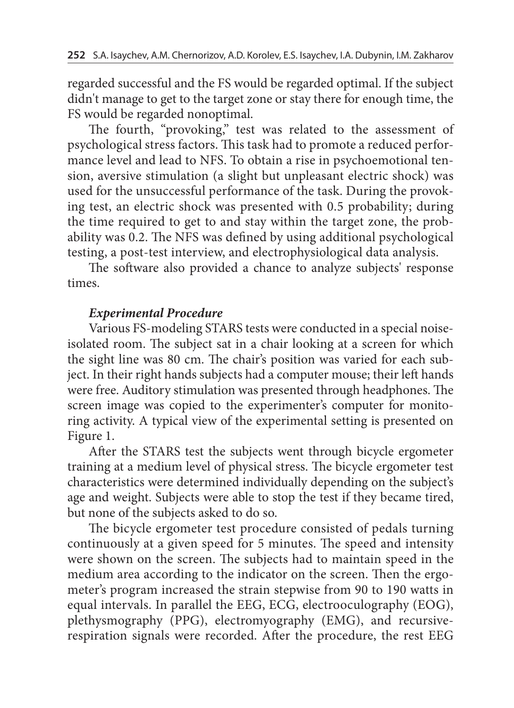regarded successful and the FS would be regarded optimal. If the subject didn't manage to get to the target zone or stay there for enough time, the FS would be regarded nonoptimal.

The fourth, "provoking," test was related to the assessment of psychological stress factors. This task had to promote a reduced performance level and lead to NFS. To obtain a rise in psychoemotional tension, aversive stimulation (a slight but unpleasant electric shock) was used for the unsuccessful performance of the task. During the provoking test, an electric shock was presented with 0.5 probability; during the time required to get to and stay within the target zone, the probability was 0.2. The NFS was defined by using additional psychological testing, a post-test interview, and electrophysiological data analysis.

The software also provided a chance to analyze subjects' response times.

#### *Experimental Procedure*

Various FS-modeling STARS tests were conducted in a special noiseisolated room. The subject sat in a chair looking at a screen for which the sight line was 80 cm. The chair's position was varied for each subject. In their right hands subjects had a computer mouse; their left hands were free. Auditory stimulation was presented through headphones. The screen image was copied to the experimenter's computer for monitoring activity. A typical view of the experimental setting is presented on Figure 1.

After the STARS test the subjects went through bicycle ergometer training at a medium level of physical stress. The bicycle ergometer test characteristics were determined individually depending on the subject's age and weight. Subjects were able to stop the test if they became tired, but none of the subjects asked to do so.

The bicycle ergometer test procedure consisted of pedals turning continuously at a given speed for 5 minutes. The speed and intensity were shown on the screen. The subjects had to maintain speed in the medium area according to the indicator on the screen. Then the ergometer's program increased the strain stepwise from 90 to 190 watts in equal intervals. In parallel the EEG, ECG, electrooculography (EOG), plethysmography (PPG), electromyography (EMG), and recursiverespiration signals were recorded. After the procedure, the rest EEG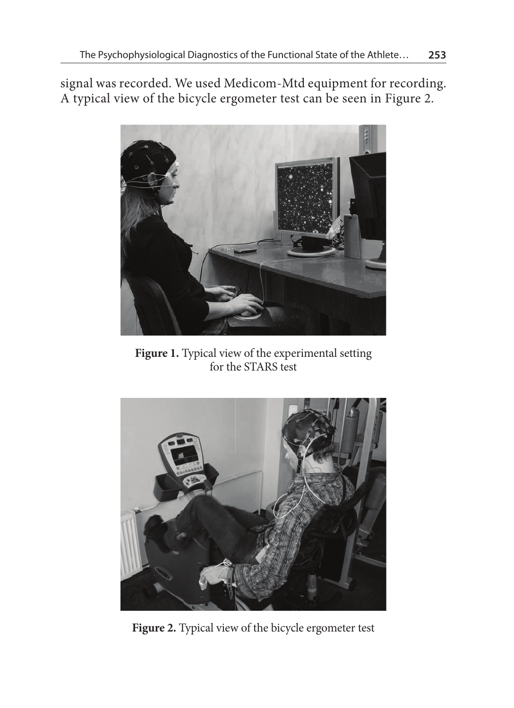signal was recorded. We used Medicom-Mtd equipment for recording. A typical view of the bicycle ergometer test can be seen in Figure 2.



**Figure 1.** Typical view of the experimental setting for the STARS test



**Figure 2.** Typical view of the bicycle ergometer test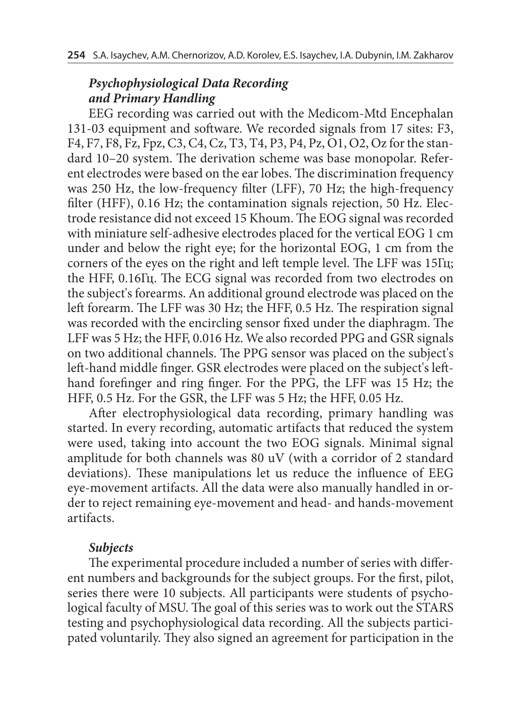#### *Psychophysiological Data Recording and Primary Handling*

EEG recording was carried out with the Medicom-Mtd Encephalan 131-03 equipment and software. We recorded signals from 17 sites: F3, F4, F7, F8, Fz, Fpz, C3, C4, Cz, T3, T4, P3, P4, Pz, O1, O2, Oz for the standard 10–20 system. The derivation scheme was base monopolar. Referent electrodes were based on the ear lobes. The discrimination frequency was 250 Hz, the low-frequency filter (LFF), 70 Hz; the high-frequency filter (HFF), 0.16 Hz; the contamination signals rejection, 50 Hz. Electrode resistance did not exceed 15 Khoum. The EOG signal was recorded with miniature self-adhesive electrodes placed for the vertical EOG 1 cm under and below the right eye; for the horizontal EOG, 1 cm from the corners of the eyes on the right and left temple level. The LFF was 15Гц; the HFF, 0.16Гц. The ECG signal was recorded from two electrodes on the subject's forearms. An additional ground electrode was placed on the left forearm. The LFF was 30 Hz; the HFF, 0.5 Hz. The respiration signal was recorded with the encircling sensor fixed under the diaphragm. The LFF was 5 Hz; the HFF, 0.016 Hz. We also recorded PPG and GSR signals on two additional channels. The PPG sensor was placed on the subject's left-hand middle finger. GSR electrodes were placed on the subject's lefthand forefinger and ring finger. For the PPG, the LFF was 15 Hz; the HFF, 0.5 Hz. For the GSR, the LFF was 5 Hz; the HFF, 0.05 Hz.

After electrophysiological data recording, primary handling was started. In every recording, automatic artifacts that reduced the system were used, taking into account the two EOG signals. Minimal signal amplitude for both channels was 80 uV (with a corridor of 2 standard deviations). These manipulations let us reduce the influence of EEG eye-movement artifacts. All the data were also manually handled in order to reject remaining eye-movement and head- and hands-movement artifacts.

#### *Subjects*

The experimental procedure included a number of series with different numbers and backgrounds for the subject groups. For the first, pilot, series there were 10 subjects. All participants were students of psychological faculty of MSU. The goal of this series was to work out the STARS testing and psychophysiological data recording. All the subjects participated voluntarily. They also signed an agreement for participation in the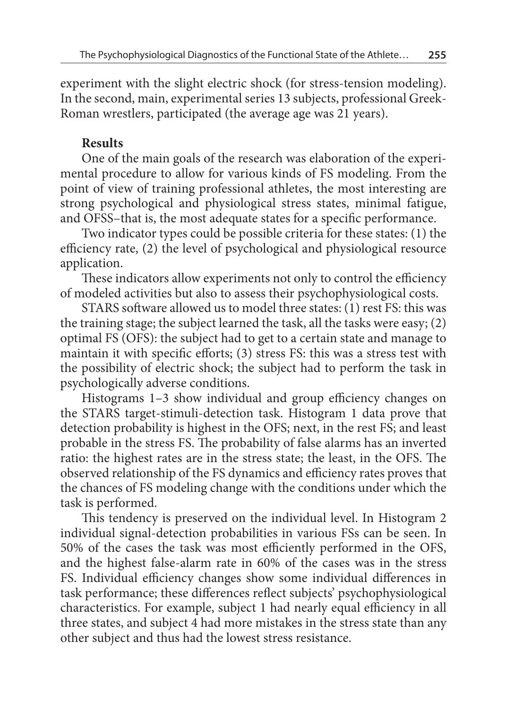experiment with the slight electric shock (for stress-tension modeling). In the second, main, experimental series 13 subjects, professional Greek-Roman wrestlers, participated (the average age was 21 years).

## **Results**

One of the main goals of the research was elaboration of the experimental procedure to allow for various kinds of FS modeling. From the point of view of training professional athletes, the most interesting are strong psychological and physiological stress states, minimal fatigue, and OFSS–that is, the most adequate states for a specific performance.

Two indicator types could be possible criteria for these states: (1) the efficiency rate, (2) the level of psychological and physiological resource application.

These indicators allow experiments not only to control the efficiency of modeled activities but also to assess their psychophysiological costs.

STARS software allowed us to model three states: (1) rest FS: this was the training stage; the subject learned the task, all the tasks were easy; (2) optimal FS (OFS): the subject had to get to a certain state and manage to maintain it with specific efforts; (3) stress FS: this was a stress test with the possibility of electric shock; the subject had to perform the task in psychologically adverse conditions.

Histograms 1–3 show individual and group efficiency changes on the STARS target-stimuli-detection task. Histogram 1 data prove that detection probability is highest in the OFS; next, in the rest FS; and least probable in the stress FS. The probability of false alarms has an inverted ratio: the highest rates are in the stress state; the least, in the OFS. The observed relationship of the FS dynamics and efficiency rates proves that the chances of FS modeling change with the conditions under which the task is performed.

This tendency is preserved on the individual level. In Histogram 2 individual signal-detection probabilities in various FSs can be seen. In 50% of the cases the task was most efficiently performed in the OFS, and the highest false-alarm rate in 60% of the cases was in the stress FS. Individual efficiency changes show some individual differences in task performance; these differences reflect subjects' psychophysiological characteristics. For example, subject 1 had nearly equal efficiency in all three states, and subject 4 had more mistakes in the stress state than any other subject and thus had the lowest stress resistance.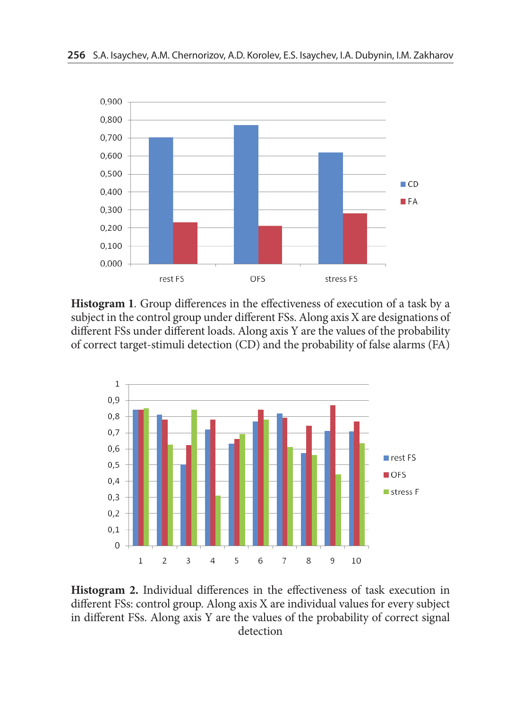

Histogram 1. Group differences in the effectiveness of execution of a task by a subject in the control group under different FSs. Along axis X are designations of different FSs under different loads. Along axis Y are the values of the probability of correct target-stimuli detection (CD) and the probability of false alarms (FA)



Histogram 2. Individual differences in the effectiveness of task execution in different FSs: control group. Along axis X are individual values for every subject in different FSs. Along axis Y are the values of the probability of correct signal detection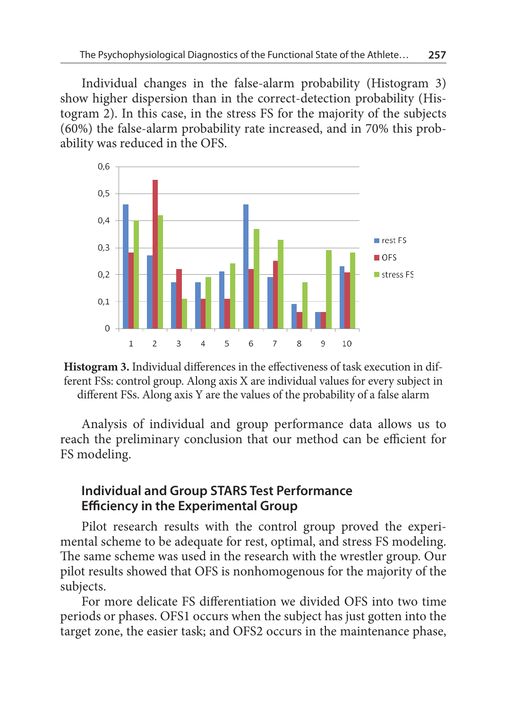Individual changes in the false-alarm probability (Histogram 3) show higher dispersion than in the correct-detection probability (Histogram 2). In this case, in the stress FS for the majority of the subjects (60%) the false-alarm probability rate increased, and in 70% this probability was reduced in the OFS.





Analysis of individual and group performance data allows us to reach the preliminary conclusion that our method can be efficient for FS modeling.

## **Individual and Group STARS Test Performance Efficiency in the Experimental Group**

Pilot research results with the control group proved the experimental scheme to be adequate for rest, optimal, and stress FS modeling. The same scheme was used in the research with the wrestler group. Our pilot results showed that OFS is nonhomogenous for the majority of the subjects.

For more delicate FS differentiation we divided OFS into two time periods or phases. OFS1 occurs when the subject has just gotten into the target zone, the easier task; and OFS2 occurs in the maintenance phase,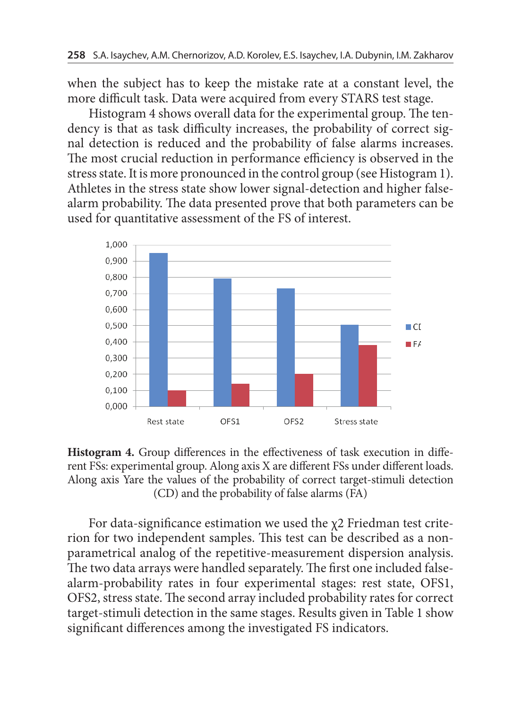when the subject has to keep the mistake rate at a constant level, the more difficult task. Data were acquired from every STARS test stage.

Histogram 4 shows overall data for the experimental group. The tendency is that as task difficulty increases, the probability of correct signal detection is reduced and the probability of false alarms increases. The most crucial reduction in performance efficiency is observed in the stress state. It is more pronounced in the control group (see Histogram 1). Athletes in the stress state show lower signal-detection and higher falsealarm probability. The data presented prove that both parameters can be used for quantitative assessment of the FS of interest.



**Histogram 4.** Group differences in the effectiveness of task execution in different FSs: experimental group. Along axis X are different FSs under different loads. Along axis Yare the values of the probability of correct target-stimuli detection (CD) and the probability of false alarms (FA)

For data-significance estimation we used the  $\chi$ 2 Friedman test criterion for two independent samples. This test can be described as a nonparametrical analog of the repetitive-measurement dispersion analysis. The two data arrays were handled separately. The first one included falsealarm-probability rates in four experimental stages: rest state, OFS1, OFS2, stress state. The second array included probability rates for correct target-stimuli detection in the same stages. Results given in Table 1 show significant differences among the investigated FS indicators.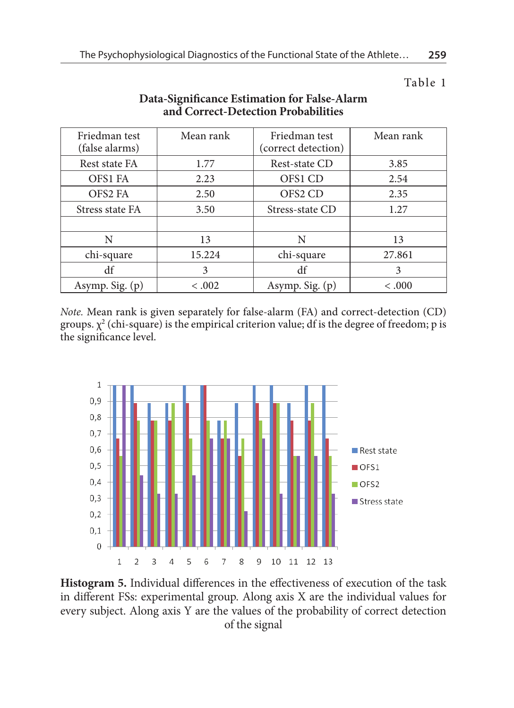|--|--|--|

| Friedman test<br>(false alarms) | Mean rank | Friedman test<br>(correct detection) | Mean rank |
|---------------------------------|-----------|--------------------------------------|-----------|
| Rest state FA                   | 1.77      | Rest-state CD                        | 3.85      |
| OFS1 FA                         | 2.23      | OFS1 CD                              | 2.54      |
| OFS <sub>2</sub> FA             | 2.50      | OFS <sub>2</sub> CD                  | 2.35      |
| Stress state FA                 | 3.50      | Stress-state CD                      | 1.27      |
|                                 |           |                                      |           |
| N                               | 13        | N                                    | 13        |
| chi-square                      | 15.224    | chi-square                           | 27.861    |
| df                              | 3         | df                                   | 3         |
| Asymp. Sig. $(p)$               | < 0.002   | Asymp. Sig. (p)                      | 0.000     |

#### **Data-Significance Estimation for False-Alarm and Correct-Detection Probabilities**

*Note.* Mean rank is given separately for false-alarm (FA) and correct-detection (CD) groups.  $\chi^2$  (chi-square) is the empirical criterion value; df is the degree of freedom; p is the significance level.



Histogram 5. Individual differences in the effectiveness of execution of the task in different FSs: experimental group. Along axis X are the individual values for every subject. Along axis Y are the values of the probability of correct detection of the signal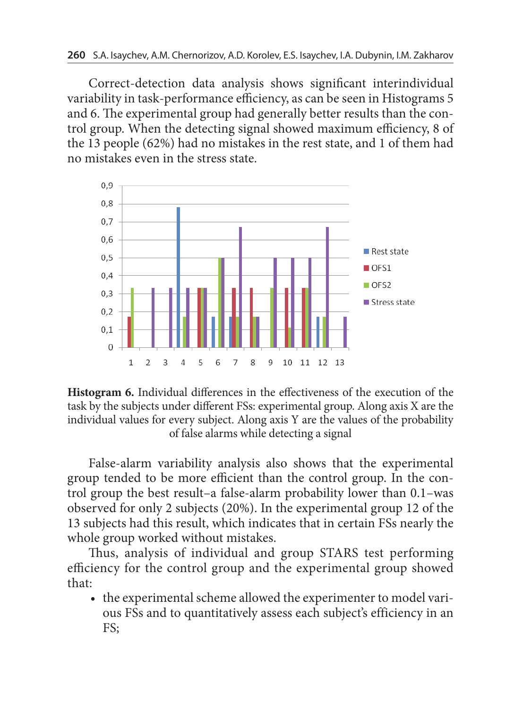Correct-detection data analysis shows significant interindividual variability in task-performance efficiency, as can be seen in Histograms 5 and 6. The experimental group had generally better results than the control group. When the detecting signal showed maximum efficiency, 8 of the 13 people (62%) had no mistakes in the rest state, and 1 of them had no mistakes even in the stress state.



**Histogram 6.** Individual differences in the effectiveness of the execution of the task by the subjects under different FSs: experimental group. Along axis X are the individual values for every subject. Along axis Y are the values of the probability of false alarms while detecting a signal

False-alarm variability analysis also shows that the experimental group tended to be more efficient than the control group. In the control group the best result–a false-alarm probability lower than  $0.1$ –was observed for only 2 subjects (20%). In the experimental group 12 of the 13 subjects had this result, which indicates that in certain FSs nearly the whole group worked without mistakes.

Thus, analysis of individual and group STARS test performing efficiency for the control group and the experimental group showed that:

• the experimental scheme allowed the experimenter to model various FSs and to quantitatively assess each subject's efficiency in an FS;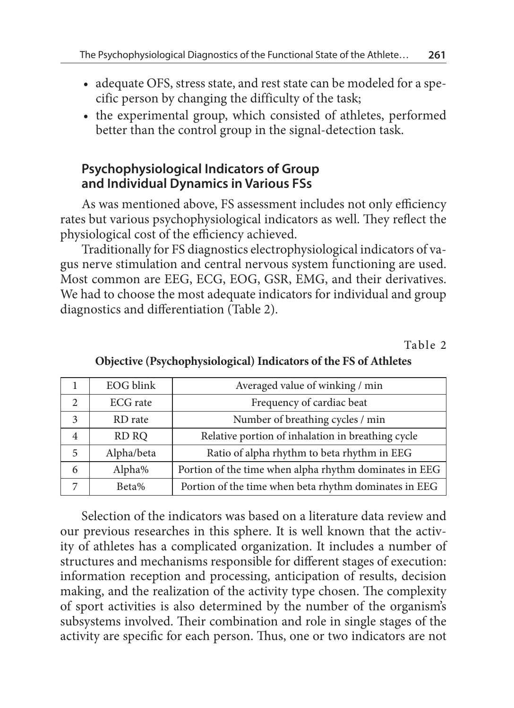- adequate OFS, stress state, and rest state can be modeled for a specific person by changing the difficulty of the task;
- the experimental group, which consisted of athletes, performed better than the control group in the signal-detection task.

### **Psychophysiological Indicators of Group and Individual Dynamics in Various FSs**

As was mentioned above, FS assessment includes not only efficiency rates but various psychophysiological indicators as well. They reflect the physiological cost of the efficiency achieved.

Traditionally for FS diagnostics electrophysiological indicators of vagus nerve stimulation and central nervous system functioning are used. Most common are EEG, ECG, EOG, GSR, EMG, and their derivatives. We had to choose the most adequate indicators for individual and group diagnostics and differentiation (Table 2).

Table 2

|   | EOG blink  | Averaged value of winking / min                        |
|---|------------|--------------------------------------------------------|
| 2 | ECG rate   | Frequency of cardiac beat                              |
| 3 | RD rate    | Number of breathing cycles / min                       |
| 4 | RD RO      | Relative portion of inhalation in breathing cycle      |
| 5 | Alpha/beta | Ratio of alpha rhythm to beta rhythm in EEG            |
| 6 | Alpha%     | Portion of the time when alpha rhythm dominates in EEG |
|   | Beta%      | Portion of the time when beta rhythm dominates in EEG  |

#### **Objective (Psychophysiological) Indicators of the FS of Athletes**

Selection of the indicators was based on a literature data review and our previous researches in this sphere. It is well known that the activity of athletes has a complicated organization. It includes a number of structures and mechanisms responsible for different stages of execution: information reception and processing, anticipation of results, decision making, and the realization of the activity type chosen. The complexity of sport activities is also determined by the number of the organism's subsystems involved. Their combination and role in single stages of the activity are specific for each person. Thus, one or two indicators are not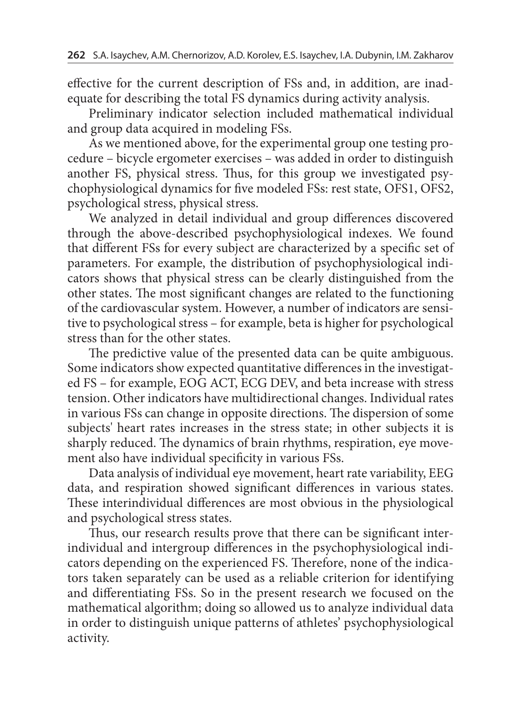effective for the current description of FSs and, in addition, are inadequate for describing the total FS dynamics during activity analysis.

Preliminary indicator selection included mathematical individual and group data acquired in modeling FSs.

As we mentioned above, for the experimental group one testing procedure – bicycle ergometer exercises – was added in order to distinguish another FS, physical stress. Thus, for this group we investigated psychophysiological dynamics for five modeled FSs: rest state, OFS1, OFS2, psychological stress, physical stress.

We analyzed in detail individual and group differences discovered through the above-described psychophysiological indexes. We found that different FSs for every subject are characterized by a specific set of parameters. For example, the distribution of psychophysiological indicators shows that physical stress can be clearly distinguished from the other states. The most significant changes are related to the functioning of the cardiovascular system. However, a number of indicators are sensitive to psychological stress - for example, beta is higher for psychological stress than for the other states.

The predictive value of the presented data can be quite ambiguous. Some indicators show expected quantitative differences in the investigated FS – for example, EOG ACT, ECG DEV, and beta increase with stress tension. Other indicators have multidirectional changes. Individual rates in various FSs can change in opposite directions. The dispersion of some subjects' heart rates increases in the stress state; in other subjects it is sharply reduced. The dynamics of brain rhythms, respiration, eye movement also have individual specificity in various FSs.

Data analysis of individual eye movement, heart rate variability, EEG data, and respiration showed significant differences in various states. These interindividual differences are most obvious in the physiological and psychological stress states.

Thus, our research results prove that there can be significant interindividual and intergroup differences in the psychophysiological indicators depending on the experienced FS. Therefore, none of the indicators taken separately can be used as a reliable criterion for identifying and differentiating FSs. So in the present research we focused on the mathematical algorithm; doing so allowed us to analyze individual data in order to distinguish unique patterns of athletes' psychophysiological activity.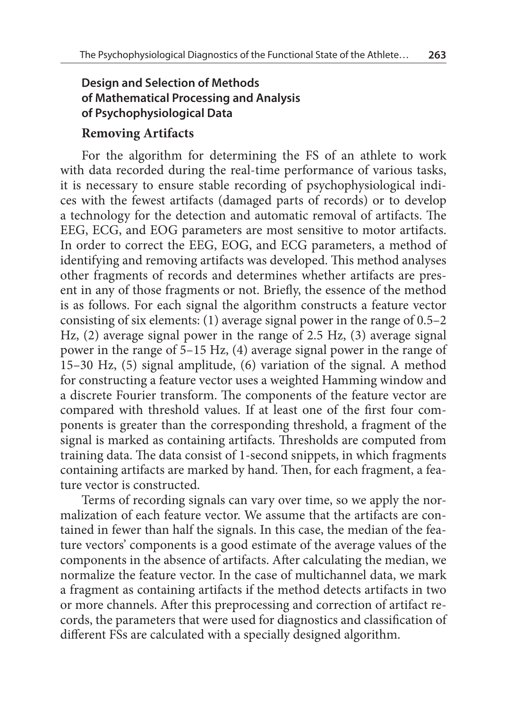### **Design and Selection of Methods of Mathematical Processing and Analysis of Psychophysiological Data**

#### **Removing Artifacts**

For the algorithm for determining the FS of an athlete to work with data recorded during the real-time performance of various tasks, it is necessary to ensure stable recording of psychophysiological indices with the fewest artifacts (damaged parts of records) or to develop a technology for the detection and automatic removal of artifacts. The EEG, ECG, and EOG parameters are most sensitive to motor artifacts. In order to correct the EEG, EOG, and ECG parameters, a method of identifying and removing artifacts was developed. This method analyses other fragments of records and determines whether artifacts are present in any of those fragments or not. Briefly, the essence of the method is as follows. For each signal the algorithm constructs a feature vector consisting of six elements: (1) average signal power in the range of 0.5–2 Hz, (2) average signal power in the range of 2.5 Hz, (3) average signal power in the range of 5–15 Hz, (4) average signal power in the range of 15–30 Hz, (5) signal amplitude, (6) variation of the signal. A method for constructing a feature vector uses a weighted Hamming window and a discrete Fourier transform. The components of the feature vector are compared with threshold values. If at least one of the first four components is greater than the corresponding threshold, a fragment of the signal is marked as containing artifacts. Thresholds are computed from training data. The data consist of 1-second snippets, in which fragments containing artifacts are marked by hand. Then, for each fragment, a feature vector is constructed.

Terms of recording signals can vary over time, so we apply the normalization of each feature vector. We assume that the artifacts are contained in fewer than half the signals. In this case, the median of the feature vectors' components is a good estimate of the average values of the components in the absence of artifacts. After calculating the median, we normalize the feature vector. In the case of multichannel data, we mark a fragment as containing artifacts if the method detects artifacts in two or more channels. After this preprocessing and correction of artifact records, the parameters that were used for diagnostics and classification of different FSs are calculated with a specially designed algorithm.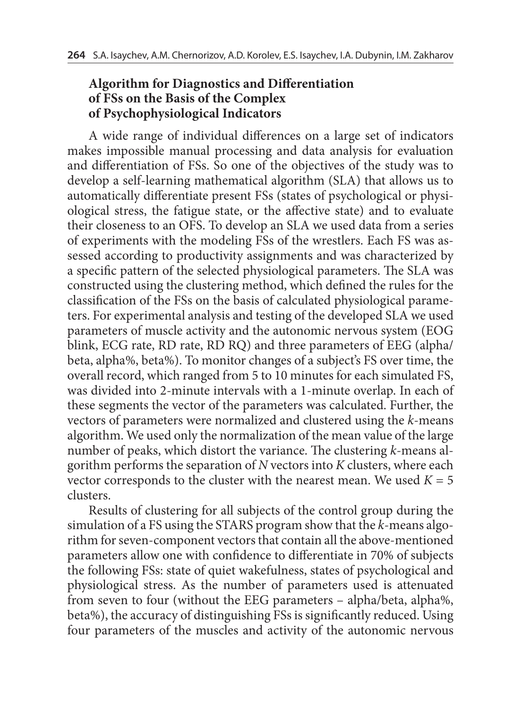### **Algorithm for Diagnostics and Differentiation of FSs on the Basis of the Complex of Psychophysiological Indicators**

A wide range of individual differences on a large set of indicators makes impossible manual processing and data analysis for evaluation and differentiation of FSs. So one of the objectives of the study was to develop a self-learning mathematical algorithm (SLA) that allows us to automatically differentiate present FSs (states of psychological or physiological stress, the fatigue state, or the affective state) and to evaluate their closeness to an OFS. To develop an SLA we used data from a series of experiments with the modeling FSs of the wrestlers. Each FS was assessed according to productivity assignments and was characterized by a specific pattern of the selected physiological parameters. The SLA was constructed using the clustering method, which defined the rules for the classification of the FSs on the basis of calculated physiological parameters. For experimental analysis and testing of the developed SLA we used parameters of muscle activity and the autonomic nervous system (EOG blink, ECG rate, RD rate, RD RQ) and three parameters of EEG (alpha/ beta, alpha%, beta%). To monitor changes of a subject's FS over time, the overall record, which ranged from 5 to 10 minutes for each simulated FS, was divided into 2-minute intervals with a 1-minute overlap. In each of these segments the vector of the parameters was calculated. Further, the vectors of parameters were normalized and clustered using the *k*-means algorithm. We used only the normalization of the mean value of the large number of peaks, which distort the variance. The clustering *k*-means algorithm performs the separation of *N* vectors into *K* clusters, where each vector corresponds to the cluster with the nearest mean. We used  $K = 5$ clusters.

Results of clustering for all subjects of the control group during the simulation of a FS using the STARS program show that the *k*-means algorithm for seven-component vectors that contain all the above-mentioned parameters allow one with confidence to differentiate in 70% of subjects the following FSs: state of quiet wakefulness, states of psychological and physiological stress. As the number of parameters used is attenuated from seven to four (without the EEG parameters – alpha/beta, alpha%, beta%), the accuracy of distinguishing FSs is significantly reduced. Using four parameters of the muscles and activity of the autonomic nervous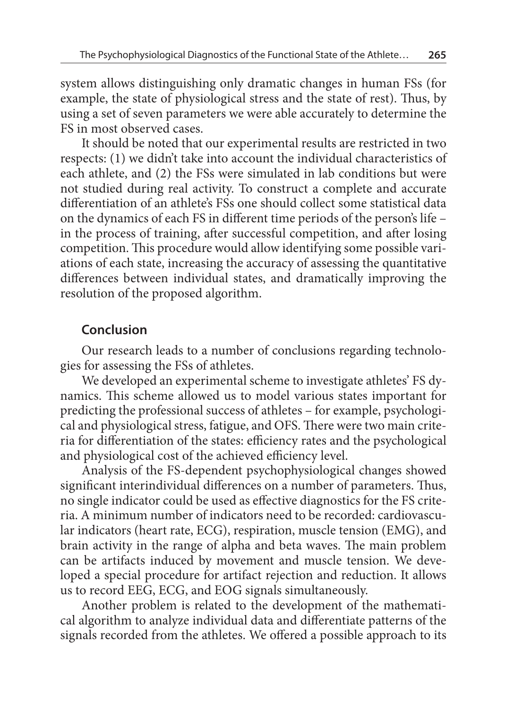system allows distinguishing only dramatic changes in human FSs (for example, the state of physiological stress and the state of rest). Thus, by using a set of seven parameters we were able accurately to determine the FS in most observed cases.

It should be noted that our experimental results are restricted in two respects: (1) we didn't take into account the individual characteristics of each athlete, and (2) the FSs were simulated in lab conditions but were not studied during real activity. To construct a complete and accurate differentiation of an athlete's FSs one should collect some statistical data on the dynamics of each FS in different time periods of the person's life – in the process of training, after successful competition, and after losing competition. This procedure would allow identifying some possible variations of each state, increasing the accuracy of assessing the quantitative differences between individual states, and dramatically improving the resolution of the proposed algorithm.

#### **Conclusion**

Our research leads to a number of conclusions regarding technologies for assessing the FSs of athletes.

We developed an experimental scheme to investigate athletes' FS dynamics. This scheme allowed us to model various states important for predicting the professional success of athletes – for example, psychological and physiological stress, fatigue, and OFS. There were two main criteria for differentiation of the states: efficiency rates and the psychological and physiological cost of the achieved efficiency level.

Analysis of the FS-dependent psychophysiological changes showed significant interindividual differences on a number of parameters. Thus, no single indicator could be used as effective diagnostics for the FS criteria. A minimum number of indicators need to be recorded: cardiovascular indicators (heart rate, ECG), respiration, muscle tension (EMG), and brain activity in the range of alpha and beta waves. The main problem can be artifacts induced by movement and muscle tension. We developed a special procedure for artifact rejection and reduction. It allows us to record EEG, ECG, and EOG signals simultaneously.

Another problem is related to the development of the mathematical algorithm to analyze individual data and differentiate patterns of the signals recorded from the athletes. We offered a possible approach to its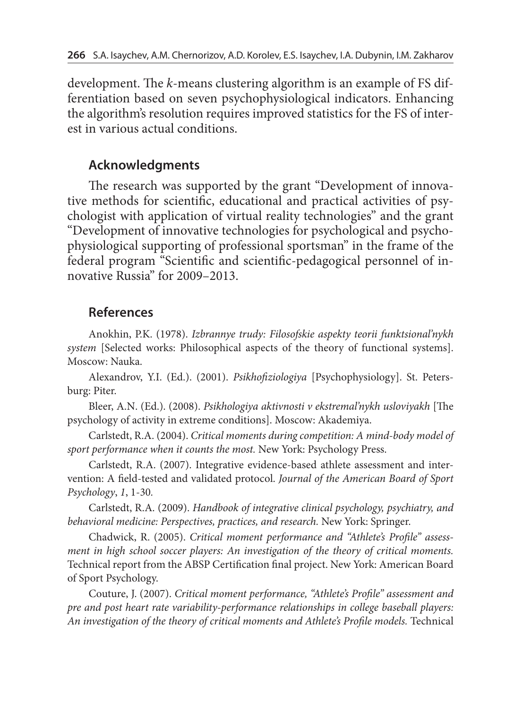development. The *k*-means clustering algorithm is an example of FS differentiation based on seven psychophysiological indicators. Enhancing the algorithm's resolution requires improved statistics for the FS of interest in various actual conditions.

## **Acknowledgments**

The research was supported by the grant "Development of innovative methods for scientific, educational and practical activities of psychologist with application of virtual reality technologies" and the grant "Development of innovative technologies for psychological and psychophysiological supporting of professional sportsman" in the frame of the federal program "Scientific and scientific-pedagogical personnel of innovative Russia" for 2009–2013.

## **References**

Anokhin, P.K. (1978). *Izbrannye trudy: Filosofskie aspekty teorii funktsional'nykh system* [Selected works: Philosophical aspects of the theory of functional systems]. Moscow: Nauka.

Alexandrov, Y.I. (Ed.). (2001). *Psikhofiziologiya* [Psychophysiology]. St. Petersburg: Piter.

Bleer, A.N. (Ed.). (2008). *Psikhologiya aktivnosti v ekstremal'nykh usloviyakh* [The psychology of activity in extreme conditions]. Moscow: Akademiya.

Carlstedt, R.A. (2004). *Critical moments during competition: A mind-body model of sport performance when it counts the most.* New York: Psychology Press.

Carlstedt, R.A. (2007). Integrative evidence-based athlete assessment and intervention: A field-tested and validated protocol. *Journal of the American Board of Sport Psychology*, *1*, 1-30*.*

Carlstedt, R.A. (2009). *Handbook of integrative clinical psychology, psychiatry, and behavioral medicine: Perspectives, practices, and research.* New York: Springer.

Chadwick, R. (2005). *Critical moment performance and "Athlete's Profile" assessment in high school soccer players: An investigation of the theory of critical moments.*  Technical report from the ABSP Certification final project. New York: American Board of Sport Psychology.

Couture, J. (2007). *Critical moment performance, "Athlete's Profile" assessment and pre and post heart rate variability-performance relationships in college baseball players: An investigation of the theory of critical moments and Athlete's Profile models.* Technical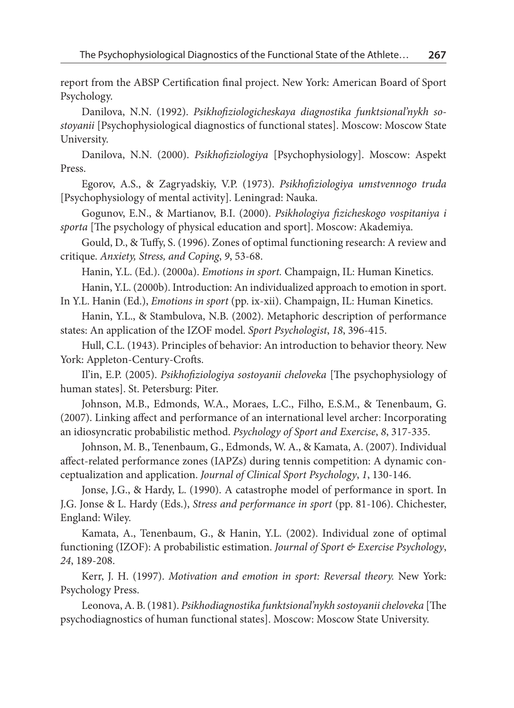report from the ABSP Certification final project. New York: American Board of Sport Psychology.

Danilova, N.N. (1992). *Psikhofiziologicheskaya diagnostika funktsional'nykh sostoyanii* [Psychophysiological diagnostics of functional states]. Moscow: Moscow State University.

Danilova, N.N. (2000). *Psikhofiziologiya* [Psychophysiology]. Moscow: Aspekt Press.

Egorov, A.S., & Zagryadskiy, V.P. (1973). *Psikhofiziologiya umstvennogo truda* [Psychophysiology of mental activity]. Leningrad: Nauka.

Gogunov, E.N., & Martianov, B.I. (2000). *Psikhologiya fizicheskogo vospitaniya i sporta* [The psychology of physical education and sport]. Moscow: Akademiya.

Gould, D., & Tuffy, S. (1996). Zones of optimal functioning research: A review and critique. *Anxiety, Stress, and Coping*, *9*, 53-68.

Hanin, Y.L. (Ed.). (2000a). *Emotions in sport.* Champaign, IL: Human Kinetics.

Hanin, Y.L. (2000b). Introduction: An individualized approach to emotion in sport. In Y.L. Hanin (Ed.), *Emotions in sport* (pp. ix-xii). Champaign, IL: Human Kinetics.

Hanin, Y.L., & Stambulova, N.B. (2002). Metaphoric description of performance states: An application of the IZOF model. *Sport Psychologist*, *18*, 396-415.

Hull, C.L. (1943). Principles of behavior: An introduction to behavior theory. New York: Appleton-Century-Crofts.

Il'in, E.P. (2005). *Psikhofiziologiya sostoyanii cheloveka* [The psychophysiology of human states]. St. Petersburg: Piter.

Johnson, M.B., Edmonds, W.A., Moraes, L.C., Filho, E.S.M., & Tenenbaum, G. (2007). Linking affect and performance of an international level archer: Incorporating an idiosyncratic probabilistic method. *Psychology of Sport and Exercise*, *8*, 317-335.

Johnson, M. B., Tenenbaum, G., Edmonds, W. A., & Kamata, A. (2007). Individual affect-related performance zones (IAPZs) during tennis competition: A dynamic conceptualization and application. *Journal of Clinical Sport Psychology*, *1*, 130-146.

Jonse, J.G., & Hardy, L. (1990). A catastrophe model of performance in sport. In J.G. Jonse & L. Hardy (Eds.), *Stress and performance in sport* (pp. 81-106). Chichester, England: Wiley.

Kamata, A., Tenenbaum, G., & Hanin, Y.L. (2002). Individual zone of optimal functioning (IZOF): A probabilistic estimation. *Journal of Sport & Exercise Psychology*, *24*, 189-208.

Kerr, J. H. (1997). *Motivation and emotion in sport: Reversal theory.* New York: Psychology Press.

Leonova, A. B. (1981). *Psikhodiagnostika funktsional'nykh sostoyanii cheloveka* [The psychodiagnostics of human functional states]. Moscow: Moscow State University.